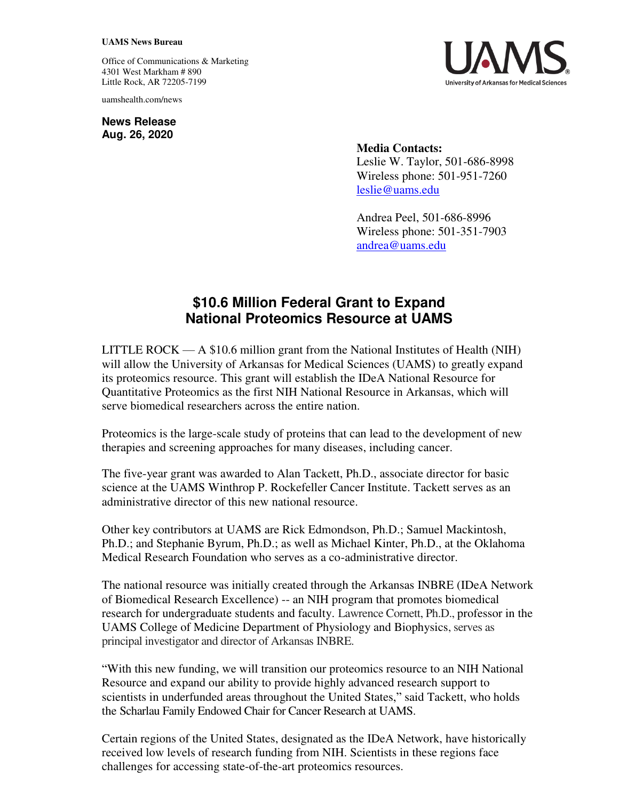## **UAMS News Bureau**

Office of Communications & Marketing 4301 West Markham # 890 Little Rock, AR 72205-7199

uamshealth.com/news

**News Release Aug. 26, 2020**



**Media Contacts:**  Leslie W. Taylor, 501-686-8998 Wireless phone: 501-951-7260 [leslie@uams.edu](mailto:leslie@uams.edu)

Andrea Peel, 501-686-8996 Wireless phone: 501-351-7903 [andrea@uams.edu](mailto:andrea@uams.edu)

## **\$10.6 Million Federal Grant to Expand National Proteomics Resource at UAMS**

LITTLE ROCK  $- A$  \$10.6 million grant from the National Institutes of Health (NIH) will allow the University of Arkansas for Medical Sciences (UAMS) to greatly expand its proteomics resource. This grant will establish the IDeA National Resource for Quantitative Proteomics as the first NIH National Resource in Arkansas, which will serve biomedical researchers across the entire nation.

Proteomics is the large-scale study of proteins that can lead to the development of new therapies and screening approaches for many diseases, including cancer.

The five-year grant was awarded to Alan Tackett, Ph.D., associate director for basic science at the UAMS Winthrop P. Rockefeller Cancer Institute. Tackett serves as an administrative director of this new national resource.

Other key contributors at UAMS are Rick Edmondson, Ph.D.; Samuel Mackintosh, Ph.D.; and Stephanie Byrum, Ph.D.; as well as Michael Kinter, Ph.D., at the Oklahoma Medical Research Foundation who serves as a co-administrative director.

The national resource was initially created through the Arkansas INBRE (IDeA Network of Biomedical Research Excellence) -- an NIH program that promotes biomedical research for undergraduate students and faculty. Lawrence Cornett, Ph.D., professor in the UAMS College of Medicine Department of Physiology and Biophysics, serves as principal investigator and director of Arkansas INBRE.

"With this new funding, we will transition our proteomics resource to an NIH National Resource and expand our ability to provide highly advanced research support to scientists in underfunded areas throughout the United States," said Tackett, who holds the Scharlau Family Endowed Chair for Cancer Research at UAMS.

Certain regions of the United States, designated as the IDeA Network, have historically received low levels of research funding from NIH. Scientists in these regions face challenges for accessing state-of-the-art proteomics resources.